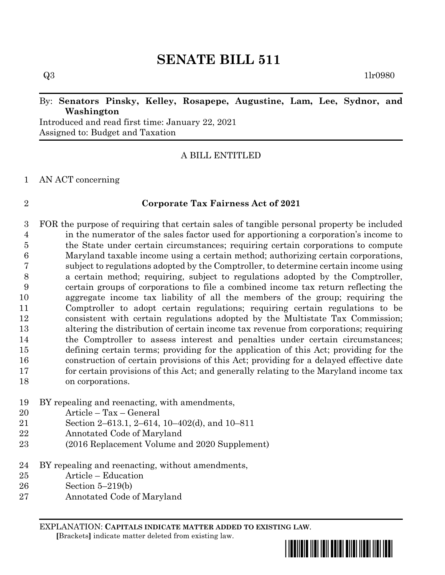# **SENATE BILL 511**

## By: **Senators Pinsky, Kelley, Rosapepe, Augustine, Lam, Lee, Sydnor, and Washington**

Introduced and read first time: January 22, 2021 Assigned to: Budget and Taxation

## A BILL ENTITLED

## AN ACT concerning

## **Corporate Tax Fairness Act of 2021**

 FOR the purpose of requiring that certain sales of tangible personal property be included in the numerator of the sales factor used for apportioning a corporation's income to the State under certain circumstances; requiring certain corporations to compute Maryland taxable income using a certain method; authorizing certain corporations, subject to regulations adopted by the Comptroller, to determine certain income using a certain method; requiring, subject to regulations adopted by the Comptroller, certain groups of corporations to file a combined income tax return reflecting the aggregate income tax liability of all the members of the group; requiring the Comptroller to adopt certain regulations; requiring certain regulations to be consistent with certain regulations adopted by the Multistate Tax Commission; altering the distribution of certain income tax revenue from corporations; requiring the Comptroller to assess interest and penalties under certain circumstances; defining certain terms; providing for the application of this Act; providing for the construction of certain provisions of this Act; providing for a delayed effective date for certain provisions of this Act; and generally relating to the Maryland income tax on corporations.

## BY repealing and reenacting, with amendments,

- Article Tax General
- Section 2–613.1, 2–614, 10–402(d), and 10–811
- Annotated Code of Maryland
- (2016 Replacement Volume and 2020 Supplement)
- BY repealing and reenacting, without amendments,
- Article Education
- Section 5–219(b)
- Annotated Code of Maryland

EXPLANATION: **CAPITALS INDICATE MATTER ADDED TO EXISTING LAW**.  **[**Brackets**]** indicate matter deleted from existing law.

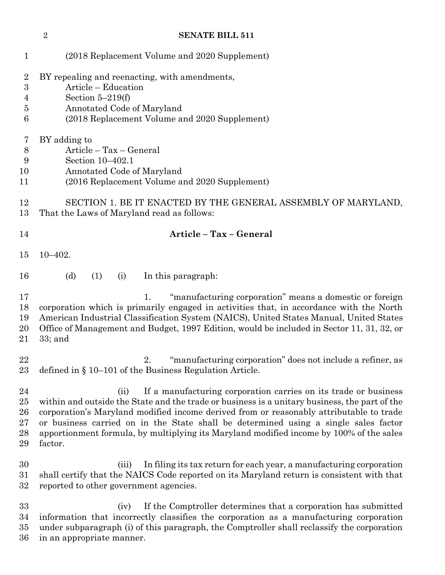|                                        | $\overline{2}$ | <b>SENATE BILL 511</b>                                                                                                                                                                                                                                                                                                                                                                                                                                |
|----------------------------------------|----------------|-------------------------------------------------------------------------------------------------------------------------------------------------------------------------------------------------------------------------------------------------------------------------------------------------------------------------------------------------------------------------------------------------------------------------------------------------------|
| 1                                      |                | (2018 Replacement Volume and 2020 Supplement)                                                                                                                                                                                                                                                                                                                                                                                                         |
| $\overline{2}$<br>3<br>4<br>5<br>6     |                | BY repealing and reenacting, with amendments,<br>Article - Education<br>Section $5-219(f)$<br>Annotated Code of Maryland<br>(2018 Replacement Volume and 2020 Supplement)                                                                                                                                                                                                                                                                             |
| 7<br>$\boldsymbol{8}$<br>9<br>10<br>11 |                | BY adding to<br>Article - Tax - General<br>Section 10-402.1<br>Annotated Code of Maryland<br>(2016 Replacement Volume and 2020 Supplement)                                                                                                                                                                                                                                                                                                            |
| 12<br>13                               |                | SECTION 1. BE IT ENACTED BY THE GENERAL ASSEMBLY OF MARYLAND,<br>That the Laws of Maryland read as follows:                                                                                                                                                                                                                                                                                                                                           |
| 14                                     |                | Article - Tax - General                                                                                                                                                                                                                                                                                                                                                                                                                               |
| 15                                     | $10 - 402.$    |                                                                                                                                                                                                                                                                                                                                                                                                                                                       |
| 16                                     |                | (d)<br>(1)<br>In this paragraph:<br>(i)                                                                                                                                                                                                                                                                                                                                                                                                               |
| 17<br>18<br>19<br>20<br>21             | $33;$ and      | "manufacturing corporation" means a domestic or foreign<br>1.<br>corporation which is primarily engaged in activities that, in accordance with the North<br>American Industrial Classification System (NAICS), United States Manual, United States<br>Office of Management and Budget, 1997 Edition, would be included in Sector 11, 31, 32, or                                                                                                       |
| 22<br>23                               |                | "manufacturing corporation" does not include a refiner, as<br>2.<br>defined in $\S$ 10–101 of the Business Regulation Article.                                                                                                                                                                                                                                                                                                                        |
| 24<br>25<br>26<br>27<br>28<br>29       | factor.        | If a manufacturing corporation carries on its trade or business<br>(ii)<br>within and outside the State and the trade or business is a unitary business, the part of the<br>corporation's Maryland modified income derived from or reasonably attributable to trade<br>or business carried on in the State shall be determined using a single sales factor<br>apportionment formula, by multiplying its Maryland modified income by 100% of the sales |
| $30\,$<br>31<br>32                     |                | In filing its tax return for each year, a manufacturing corporation<br>(iii)<br>shall certify that the NAICS Code reported on its Maryland return is consistent with that<br>reported to other government agencies.                                                                                                                                                                                                                                   |
| 33<br>34<br>35<br>36                   |                | If the Comptroller determines that a corporation has submitted<br>(iv)<br>information that incorrectly classifies the corporation as a manufacturing corporation<br>under subparagraph (i) of this paragraph, the Comptroller shall reclassify the corporation<br>in an appropriate manner.                                                                                                                                                           |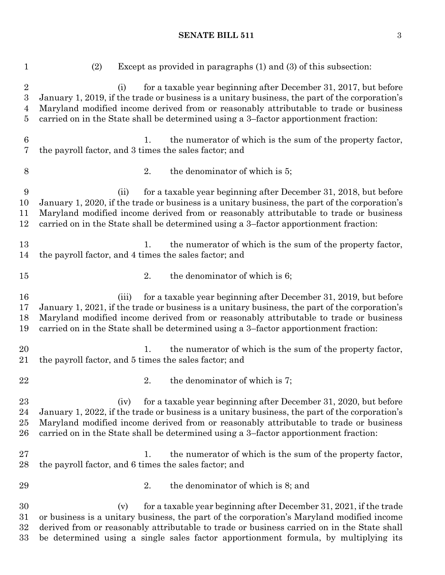| $\mathbf{1}$                                                 | Except as provided in paragraphs (1) and (3) of this subsection:<br>(2)                                                                                                                                                                                                                                                                                      |
|--------------------------------------------------------------|--------------------------------------------------------------------------------------------------------------------------------------------------------------------------------------------------------------------------------------------------------------------------------------------------------------------------------------------------------------|
| $\sqrt{2}$<br>$\sqrt{3}$<br>$\overline{4}$<br>$\overline{5}$ | for a taxable year beginning after December 31, 2017, but before<br>(i)<br>January 1, 2019, if the trade or business is a unitary business, the part of the corporation's<br>Maryland modified income derived from or reasonably attributable to trade or business<br>carried on in the State shall be determined using a 3-factor apportionment fraction:   |
| $\boldsymbol{6}$<br>$\overline{7}$                           | the numerator of which is the sum of the property factor,<br>$\mathbf{1}_{\cdot}$<br>the payroll factor, and 3 times the sales factor; and                                                                                                                                                                                                                   |
| 8                                                            | 2.<br>the denominator of which is 5;                                                                                                                                                                                                                                                                                                                         |
| $\boldsymbol{9}$<br>10<br>11<br>12                           | for a taxable year beginning after December 31, 2018, but before<br>(ii)<br>January 1, 2020, if the trade or business is a unitary business, the part of the corporation's<br>Maryland modified income derived from or reasonably attributable to trade or business<br>carried on in the State shall be determined using a 3-factor apportionment fraction:  |
| 13<br>14                                                     | the numerator of which is the sum of the property factor,<br>1.<br>the payroll factor, and 4 times the sales factor; and                                                                                                                                                                                                                                     |
| 15                                                           | 2.<br>the denominator of which is 6;                                                                                                                                                                                                                                                                                                                         |
| 16<br>17<br>18<br>19                                         | for a taxable year beginning after December 31, 2019, but before<br>(iii)<br>January 1, 2021, if the trade or business is a unitary business, the part of the corporation's<br>Maryland modified income derived from or reasonably attributable to trade or business<br>carried on in the State shall be determined using a 3-factor apportionment fraction: |
| 20<br>21                                                     | the numerator of which is the sum of the property factor,<br>1.<br>the payroll factor, and 5 times the sales factor; and                                                                                                                                                                                                                                     |
| 22                                                           | 2.<br>the denominator of which is 7;                                                                                                                                                                                                                                                                                                                         |
| 23<br>24<br>25<br>26                                         | for a taxable year beginning after December 31, 2020, but before<br>(iv)<br>January 1, 2022, if the trade or business is a unitary business, the part of the corporation's<br>Maryland modified income derived from or reasonably attributable to trade or business<br>carried on in the State shall be determined using a 3-factor apportionment fraction:  |
| 27<br>28                                                     | the numerator of which is the sum of the property factor,<br>1.<br>the payroll factor, and 6 times the sales factor; and                                                                                                                                                                                                                                     |
| 29                                                           | 2.<br>the denominator of which is 8; and                                                                                                                                                                                                                                                                                                                     |
| 30<br>31<br>32<br>33                                         | for a taxable year beginning after December 31, 2021, if the trade<br>(v)<br>or business is a unitary business, the part of the corporation's Maryland modified income<br>derived from or reasonably attributable to trade or business carried on in the State shall<br>be determined using a single sales factor apportionment formula, by multiplying its  |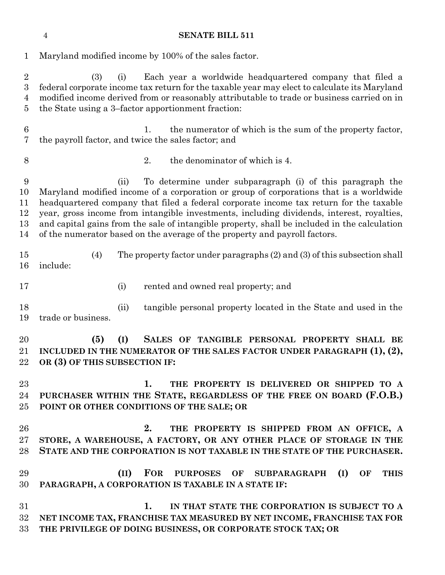Maryland modified income by 100% of the sales factor. (3) (i) Each year a worldwide headquartered company that filed a federal corporate income tax return for the taxable year may elect to calculate its Maryland modified income derived from or reasonably attributable to trade or business carried on in the State using a 3–factor apportionment fraction: 1. the numerator of which is the sum of the property factor, the payroll factor, and twice the sales factor; and 2. the denominator of which is 4. (ii) To determine under subparagraph (i) of this paragraph the Maryland modified income of a corporation or group of corporations that is a worldwide headquartered company that filed a federal corporate income tax return for the taxable year, gross income from intangible investments, including dividends, interest, royalties, and capital gains from the sale of intangible property, shall be included in the calculation of the numerator based on the average of the property and payroll factors. (4) The property factor under paragraphs (2) and (3) of this subsection shall include: (i) rented and owned real property; and (ii) tangible personal property located in the State and used in the trade or business. **(5) (I) SALES OF TANGIBLE PERSONAL PROPERTY SHALL BE INCLUDED IN THE NUMERATOR OF THE SALES FACTOR UNDER PARAGRAPH (1), (2), OR (3) OF THIS SUBSECTION IF: 1. THE PROPERTY IS DELIVERED OR SHIPPED TO A PURCHASER WITHIN THE STATE, REGARDLESS OF THE FREE ON BOARD (F.O.B.) POINT OR OTHER CONDITIONS OF THE SALE; OR 2. THE PROPERTY IS SHIPPED FROM AN OFFICE, A STORE, A WAREHOUSE, A FACTORY, OR ANY OTHER PLACE OF STORAGE IN THE STATE AND THE CORPORATION IS NOT TAXABLE IN THE STATE OF THE PURCHASER. (II) FOR PURPOSES OF SUBPARAGRAPH (I) OF THIS PARAGRAPH, A CORPORATION IS TAXABLE IN A STATE IF:**

 **1. IN THAT STATE THE CORPORATION IS SUBJECT TO A NET INCOME TAX, FRANCHISE TAX MEASURED BY NET INCOME, FRANCHISE TAX FOR THE PRIVILEGE OF DOING BUSINESS, OR CORPORATE STOCK TAX; OR**

### **SENATE BILL 511**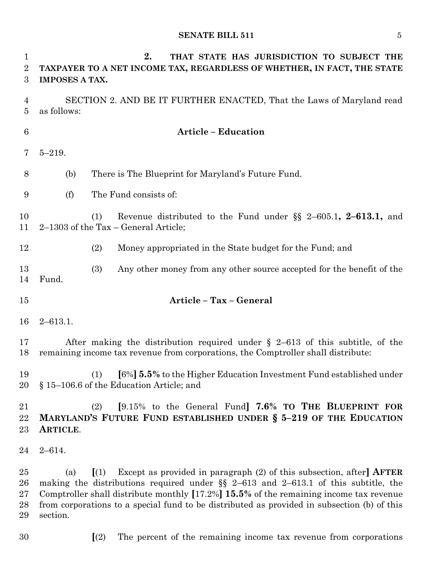| $\mathbf 1$<br>$\boldsymbol{2}$<br>3 | 2.<br>THAT STATE HAS JURISDICTION TO SUBJECT THE<br>TAXPAYER TO A NET INCOME TAX, REGARDLESS OF WHETHER, IN FACT, THE STATE<br><b>IMPOSES A TAX.</b>                                                                                                                                                                                                                                                     |
|--------------------------------------|----------------------------------------------------------------------------------------------------------------------------------------------------------------------------------------------------------------------------------------------------------------------------------------------------------------------------------------------------------------------------------------------------------|
| $\overline{4}$<br>$\overline{5}$     | SECTION 2. AND BE IT FURTHER ENACTED, That the Laws of Maryland read<br>as follows:                                                                                                                                                                                                                                                                                                                      |
| $6\phantom{.}6$                      | <b>Article - Education</b>                                                                                                                                                                                                                                                                                                                                                                               |
| 7                                    | $5 - 219.$                                                                                                                                                                                                                                                                                                                                                                                               |
| 8                                    | There is The Blueprint for Maryland's Future Fund.<br>(b)                                                                                                                                                                                                                                                                                                                                                |
| 9                                    | The Fund consists of:<br>(f)                                                                                                                                                                                                                                                                                                                                                                             |
| 10<br>11                             | Revenue distributed to the Fund under $\S$ 2-605.1, 2-613.1, and<br>(1)<br>$2-1303$ of the Tax – General Article;                                                                                                                                                                                                                                                                                        |
| 12                                   | (2)<br>Money appropriated in the State budget for the Fund; and                                                                                                                                                                                                                                                                                                                                          |
| 13<br>14                             | (3)<br>Any other money from any other source accepted for the benefit of the<br>Fund.                                                                                                                                                                                                                                                                                                                    |
| 15                                   | Article - Tax - General                                                                                                                                                                                                                                                                                                                                                                                  |
| 16                                   | $2 - 613.1.$                                                                                                                                                                                                                                                                                                                                                                                             |
| 17<br>18                             | After making the distribution required under $\S$ 2-613 of this subtitle, of the<br>remaining income tax revenue from corporations, the Comptroller shall distribute:                                                                                                                                                                                                                                    |
| 19<br>20                             | [6%] <b>5.5%</b> to the Higher Education Investment Fund established under<br>(1)<br>§ 15–106.6 of the Education Article; and                                                                                                                                                                                                                                                                            |
| 21<br>22<br>23                       | [9.15% to the General Fund] 7.6% TO THE BLUEPRINT FOR<br>(2)<br>MARYLAND'S FUTURE FUND ESTABLISHED UNDER § 5-219 OF THE EDUCATION<br>ARTICLE.                                                                                                                                                                                                                                                            |
| 24                                   | $2 - 614.$                                                                                                                                                                                                                                                                                                                                                                                               |
| 25<br>26<br>27<br>28<br>29           | Except as provided in paragraph $(2)$ of this subsection, after <b>AFTER</b><br>$\left[ (1) \right]$<br>(a)<br>making the distributions required under $\S$ 2-613 and 2-613.1 of this subtitle, the<br>Comptroller shall distribute monthly [17.2%] 15.5% of the remaining income tax revenue<br>from corporations to a special fund to be distributed as provided in subsection (b) of this<br>section. |
| 30                                   | (2)<br>The percent of the remaining income tax revenue from corporations                                                                                                                                                                                                                                                                                                                                 |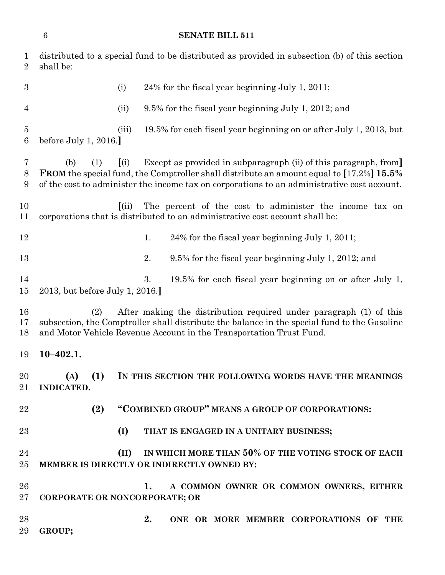## **SENATE BILL 511**

| $\mathbf{1}$<br>$\overline{2}$ | distributed to a special fund to be distributed as provided in subsection (b) of this section<br>shall be:                                                                                                                                                                             |
|--------------------------------|----------------------------------------------------------------------------------------------------------------------------------------------------------------------------------------------------------------------------------------------------------------------------------------|
| $\boldsymbol{3}$               | 24% for the fiscal year beginning July 1, 2011;<br>(i)                                                                                                                                                                                                                                 |
| $\overline{4}$                 | 9.5% for the fiscal year beginning July 1, 2012; and<br>(ii)                                                                                                                                                                                                                           |
| $\overline{5}$<br>$\,6$        | (iii)<br>19.5% for each fiscal year beginning on or after July 1, 2013, but<br>before July 1, 2016.                                                                                                                                                                                    |
| 7<br>8<br>9                    | Except as provided in subparagraph (ii) of this paragraph, from<br>(b)<br>(i)<br>(1)<br><b>FROM</b> the special fund, the Comptroller shall distribute an amount equal to [17.2%] 15.5%<br>of the cost to administer the income tax on corporations to an administrative cost account. |
| 10<br>11                       | The percent of the cost to administer the income tax on<br>(iii)<br>corporations that is distributed to an administrative cost account shall be:                                                                                                                                       |
| 12                             | 1.<br>24% for the fiscal year beginning July 1, 2011;                                                                                                                                                                                                                                  |
| 13                             | 2.<br>9.5% for the fiscal year beginning July 1, 2012; and                                                                                                                                                                                                                             |
| 14<br>15                       | 3.<br>19.5% for each fiscal year beginning on or after July 1,<br>2013, but before July 1, 2016.                                                                                                                                                                                       |
| 16<br>17<br>18                 | After making the distribution required under paragraph (1) of this<br>(2)<br>subsection, the Comptroller shall distribute the balance in the special fund to the Gasoline<br>and Motor Vehicle Revenue Account in the Transportation Trust Fund.                                       |
| 19                             | $10 - 402.1.$                                                                                                                                                                                                                                                                          |
| 20                             | (1)<br>(A)<br>IN THIS SECTION THE FOLLOWING WORDS HAVE THE MEANINGS<br>21 INDICATED.                                                                                                                                                                                                   |
| 22                             | "COMBINED GROUP" MEANS A GROUP OF CORPORATIONS:<br>(2)                                                                                                                                                                                                                                 |
| 23                             | (I)<br>THAT IS ENGAGED IN A UNITARY BUSINESS;                                                                                                                                                                                                                                          |
| 24                             | (II) IN WHICH MORE THAN 50% OF THE VOTING STOCK OF EACH                                                                                                                                                                                                                                |
| 25                             | MEMBER IS DIRECTLY OR INDIRECTLY OWNED BY:                                                                                                                                                                                                                                             |
| 26                             | A COMMON OWNER OR COMMON OWNERS, EITHER<br>1.                                                                                                                                                                                                                                          |
| $27\,$                         | CORPORATE OR NONCORPORATE; OR                                                                                                                                                                                                                                                          |
| 28<br>29                       | 2.<br>ONE OR MORE MEMBER CORPORATIONS OF THE<br>GROUP;                                                                                                                                                                                                                                 |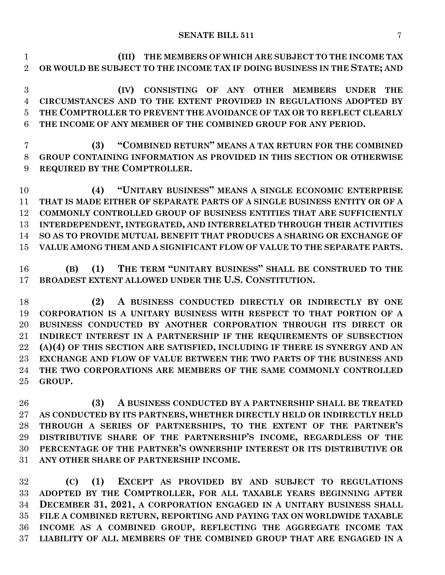**(III) THE MEMBERS OF WHICH ARE SUBJECT TO THE INCOME TAX OR WOULD BE SUBJECT TO THE INCOME TAX IF DOING BUSINESS IN THE STATE; AND**

 **(IV) CONSISTING OF ANY OTHER MEMBERS UNDER THE CIRCUMSTANCES AND TO THE EXTENT PROVIDED IN REGULATIONS ADOPTED BY THE COMPTROLLER TO PREVENT THE AVOIDANCE OF TAX OR TO REFLECT CLEARLY THE INCOME OF ANY MEMBER OF THE COMBINED GROUP FOR ANY PERIOD.**

 **(3) "COMBINED RETURN" MEANS A TAX RETURN FOR THE COMBINED GROUP CONTAINING INFORMATION AS PROVIDED IN THIS SECTION OR OTHERWISE REQUIRED BY THE COMPTROLLER.**

 **(4) "UNITARY BUSINESS" MEANS A SINGLE ECONOMIC ENTERPRISE THAT IS MADE EITHER OF SEPARATE PARTS OF A SINGLE BUSINESS ENTITY OR OF A COMMONLY CONTROLLED GROUP OF BUSINESS ENTITIES THAT ARE SUFFICIENTLY INTERDEPENDENT, INTEGRATED, AND INTERRELATED THROUGH THEIR ACTIVITIES SO AS TO PROVIDE MUTUAL BENEFIT THAT PRODUCES A SHARING OR EXCHANGE OF VALUE AMONG THEM AND A SIGNIFICANT FLOW OF VALUE TO THE SEPARATE PARTS.**

 **(B) (1) THE TERM "UNITARY BUSINESS" SHALL BE CONSTRUED TO THE BROADEST EXTENT ALLOWED UNDER THE U.S. CONSTITUTION.**

 **(2) A BUSINESS CONDUCTED DIRECTLY OR INDIRECTLY BY ONE CORPORATION IS A UNITARY BUSINESS WITH RESPECT TO THAT PORTION OF A BUSINESS CONDUCTED BY ANOTHER CORPORATION THROUGH ITS DIRECT OR INDIRECT INTEREST IN A PARTNERSHIP IF THE REQUIREMENTS OF SUBSECTION (A)(4) OF THIS SECTION ARE SATISFIED, INCLUDING IF THERE IS SYNERGY AND AN EXCHANGE AND FLOW OF VALUE BETWEEN THE TWO PARTS OF THE BUSINESS AND THE TWO CORPORATIONS ARE MEMBERS OF THE SAME COMMONLY CONTROLLED GROUP.**

 **(3) A BUSINESS CONDUCTED BY A PARTNERSHIP SHALL BE TREATED AS CONDUCTED BY ITS PARTNERS, WHETHER DIRECTLY HELD OR INDIRECTLY HELD THROUGH A SERIES OF PARTNERSHIPS, TO THE EXTENT OF THE PARTNER'S DISTRIBUTIVE SHARE OF THE PARTNERSHIP'S INCOME, REGARDLESS OF THE PERCENTAGE OF THE PARTNER'S OWNERSHIP INTEREST OR ITS DISTRIBUTIVE OR ANY OTHER SHARE OF PARTNERSHIP INCOME.**

 **(C) (1) EXCEPT AS PROVIDED BY AND SUBJECT TO REGULATIONS ADOPTED BY THE COMPTROLLER, FOR ALL TAXABLE YEARS BEGINNING AFTER DECEMBER 31, 2021, A CORPORATION ENGAGED IN A UNITARY BUSINESS SHALL FILE A COMBINED RETURN, REPORTING AND PAYING TAX ON WORLDWIDE TAXABLE INCOME AS A COMBINED GROUP, REFLECTING THE AGGREGATE INCOME TAX LIABILITY OF ALL MEMBERS OF THE COMBINED GROUP THAT ARE ENGAGED IN A**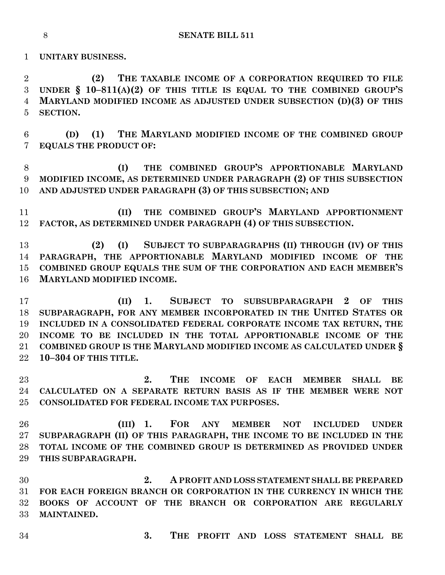**UNITARY BUSINESS.**

 **(2) THE TAXABLE INCOME OF A CORPORATION REQUIRED TO FILE UNDER § 10–811(A)(2) OF THIS TITLE IS EQUAL TO THE COMBINED GROUP'S MARYLAND MODIFIED INCOME AS ADJUSTED UNDER SUBSECTION (D)(3) OF THIS SECTION.**

 **(D) (1) THE MARYLAND MODIFIED INCOME OF THE COMBINED GROUP EQUALS THE PRODUCT OF:**

 **(I) THE COMBINED GROUP'S APPORTIONABLE MARYLAND MODIFIED INCOME, AS DETERMINED UNDER PARAGRAPH (2) OF THIS SUBSECTION AND ADJUSTED UNDER PARAGRAPH (3) OF THIS SUBSECTION; AND**

 **(II) THE COMBINED GROUP'S MARYLAND APPORTIONMENT FACTOR, AS DETERMINED UNDER PARAGRAPH (4) OF THIS SUBSECTION.**

 **(2) (I) SUBJECT TO SUBPARAGRAPHS (II) THROUGH (IV) OF THIS PARAGRAPH, THE APPORTIONABLE MARYLAND MODIFIED INCOME OF THE COMBINED GROUP EQUALS THE SUM OF THE CORPORATION AND EACH MEMBER'S MARYLAND MODIFIED INCOME.**

 **(II) 1. SUBJECT TO SUBSUBPARAGRAPH 2 OF THIS SUBPARAGRAPH, FOR ANY MEMBER INCORPORATED IN THE UNITED STATES OR INCLUDED IN A CONSOLIDATED FEDERAL CORPORATE INCOME TAX RETURN, THE INCOME TO BE INCLUDED IN THE TOTAL APPORTIONABLE INCOME OF THE COMBINED GROUP IS THE MARYLAND MODIFIED INCOME AS CALCULATED UNDER § 10–304 OF THIS TITLE.**

 **2. THE INCOME OF EACH MEMBER SHALL BE CALCULATED ON A SEPARATE RETURN BASIS AS IF THE MEMBER WERE NOT CONSOLIDATED FOR FEDERAL INCOME TAX PURPOSES.**

 **(III) 1. FOR ANY MEMBER NOT INCLUDED UNDER SUBPARAGRAPH (II) OF THIS PARAGRAPH, THE INCOME TO BE INCLUDED IN THE TOTAL INCOME OF THE COMBINED GROUP IS DETERMINED AS PROVIDED UNDER THIS SUBPARAGRAPH.**

 **2. A PROFIT AND LOSS STATEMENT SHALL BE PREPARED FOR EACH FOREIGN BRANCH OR CORPORATION IN THE CURRENCY IN WHICH THE BOOKS OF ACCOUNT OF THE BRANCH OR CORPORATION ARE REGULARLY MAINTAINED.**

**3. THE PROFIT AND LOSS STATEMENT SHALL BE**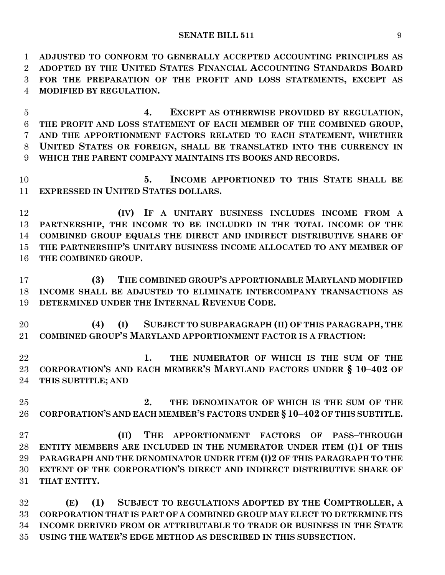**ADJUSTED TO CONFORM TO GENERALLY ACCEPTED ACCOUNTING PRINCIPLES AS ADOPTED BY THE UNITED STATES FINANCIAL ACCOUNTING STANDARDS BOARD FOR THE PREPARATION OF THE PROFIT AND LOSS STATEMENTS, EXCEPT AS MODIFIED BY REGULATION.**

 **4. EXCEPT AS OTHERWISE PROVIDED BY REGULATION, THE PROFIT AND LOSS STATEMENT OF EACH MEMBER OF THE COMBINED GROUP, AND THE APPORTIONMENT FACTORS RELATED TO EACH STATEMENT, WHETHER UNITED STATES OR FOREIGN, SHALL BE TRANSLATED INTO THE CURRENCY IN WHICH THE PARENT COMPANY MAINTAINS ITS BOOKS AND RECORDS.**

 **5. INCOME APPORTIONED TO THIS STATE SHALL BE EXPRESSED IN UNITED STATES DOLLARS.**

 **(IV) IF A UNITARY BUSINESS INCLUDES INCOME FROM A PARTNERSHIP, THE INCOME TO BE INCLUDED IN THE TOTAL INCOME OF THE COMBINED GROUP EQUALS THE DIRECT AND INDIRECT DISTRIBUTIVE SHARE OF THE PARTNERSHIP'S UNITARY BUSINESS INCOME ALLOCATED TO ANY MEMBER OF THE COMBINED GROUP.**

 **(3) THE COMBINED GROUP'S APPORTIONABLE MARYLAND MODIFIED INCOME SHALL BE ADJUSTED TO ELIMINATE INTERCOMPANY TRANSACTIONS AS DETERMINED UNDER THE INTERNAL REVENUE CODE.**

 **(4) (I) SUBJECT TO SUBPARAGRAPH (II) OF THIS PARAGRAPH, THE COMBINED GROUP'S MARYLAND APPORTIONMENT FACTOR IS A FRACTION:**

 **1. THE NUMERATOR OF WHICH IS THE SUM OF THE CORPORATION'S AND EACH MEMBER'S MARYLAND FACTORS UNDER § 10–402 OF THIS SUBTITLE; AND**

 **2. THE DENOMINATOR OF WHICH IS THE SUM OF THE CORPORATION'S AND EACH MEMBER'S FACTORS UNDER § 10–402 OF THIS SUBTITLE.**

 **(II) THE APPORTIONMENT FACTORS OF PASS–THROUGH ENTITY MEMBERS ARE INCLUDED IN THE NUMERATOR UNDER ITEM (I)1 OF THIS PARAGRAPH AND THE DENOMINATOR UNDER ITEM (I)2 OF THIS PARAGRAPH TO THE EXTENT OF THE CORPORATION'S DIRECT AND INDIRECT DISTRIBUTIVE SHARE OF THAT ENTITY.**

 **(E) (1) SUBJECT TO REGULATIONS ADOPTED BY THE COMPTROLLER, A CORPORATION THAT IS PART OF A COMBINED GROUP MAY ELECT TO DETERMINE ITS INCOME DERIVED FROM OR ATTRIBUTABLE TO TRADE OR BUSINESS IN THE STATE USING THE WATER'S EDGE METHOD AS DESCRIBED IN THIS SUBSECTION.**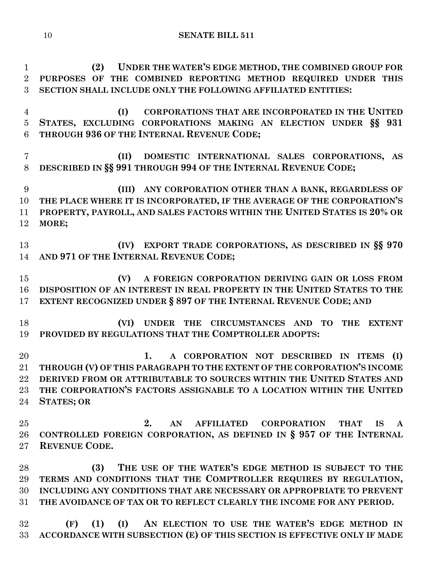**(2) UNDER THE WATER'S EDGE METHOD, THE COMBINED GROUP FOR PURPOSES OF THE COMBINED REPORTING METHOD REQUIRED UNDER THIS SECTION SHALL INCLUDE ONLY THE FOLLOWING AFFILIATED ENTITIES: (I) CORPORATIONS THAT ARE INCORPORATED IN THE UNITED STATES, EXCLUDING CORPORATIONS MAKING AN ELECTION UNDER §§ 931 THROUGH 936 OF THE INTERNAL REVENUE CODE; (II) DOMESTIC INTERNATIONAL SALES CORPORATIONS, AS DESCRIBED IN §§ 991 THROUGH 994 OF THE INTERNAL REVENUE CODE; (III) ANY CORPORATION OTHER THAN A BANK, REGARDLESS OF THE PLACE WHERE IT IS INCORPORATED, IF THE AVERAGE OF THE CORPORATION'S PROPERTY, PAYROLL, AND SALES FACTORS WITHIN THE UNITED STATES IS 20% OR MORE; (IV) EXPORT TRADE CORPORATIONS, AS DESCRIBED IN §§ 970 AND 971 OF THE INTERNAL REVENUE CODE; (V) A FOREIGN CORPORATION DERIVING GAIN OR LOSS FROM DISPOSITION OF AN INTEREST IN REAL PROPERTY IN THE UNITED STATES TO THE EXTENT RECOGNIZED UNDER § 897 OF THE INTERNAL REVENUE CODE; AND (VI) UNDER THE CIRCUMSTANCES AND TO THE EXTENT PROVIDED BY REGULATIONS THAT THE COMPTROLLER ADOPTS: 1. A CORPORATION NOT DESCRIBED IN ITEMS (I) THROUGH (V) OF THIS PARAGRAPH TO THE EXTENT OF THE CORPORATION'S INCOME DERIVED FROM OR ATTRIBUTABLE TO SOURCES WITHIN THE UNITED STATES AND THE CORPORATION'S FACTORS ASSIGNABLE TO A LOCATION WITHIN THE UNITED STATES; OR 2. AN AFFILIATED CORPORATION THAT IS A CONTROLLED FOREIGN CORPORATION, AS DEFINED IN § 957 OF THE INTERNAL REVENUE CODE. (3) THE USE OF THE WATER'S EDGE METHOD IS SUBJECT TO THE TERMS AND CONDITIONS THAT THE COMPTROLLER REQUIRES BY REGULATION, INCLUDING ANY CONDITIONS THAT ARE NECESSARY OR APPROPRIATE TO PREVENT THE AVOIDANCE OF TAX OR TO REFLECT CLEARLY THE INCOME FOR ANY PERIOD. (F) (1) (I) AN ELECTION TO USE THE WATER'S EDGE METHOD IN** 

**ACCORDANCE WITH SUBSECTION (E) OF THIS SECTION IS EFFECTIVE ONLY IF MADE**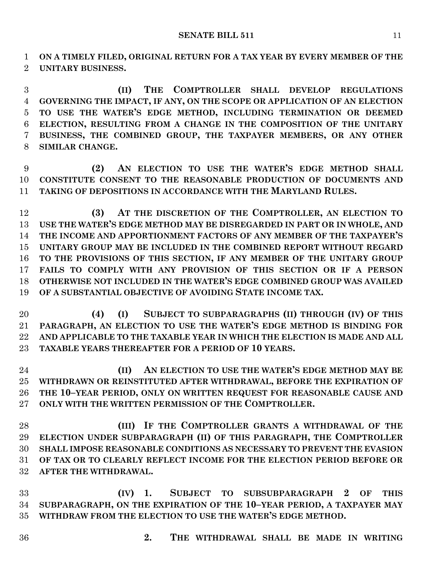**ON A TIMELY FILED, ORIGINAL RETURN FOR A TAX YEAR BY EVERY MEMBER OF THE UNITARY BUSINESS.**

 **(II) THE COMPTROLLER SHALL DEVELOP REGULATIONS GOVERNING THE IMPACT, IF ANY, ON THE SCOPE OR APPLICATION OF AN ELECTION TO USE THE WATER'S EDGE METHOD, INCLUDING TERMINATION OR DEEMED ELECTION, RESULTING FROM A CHANGE IN THE COMPOSITION OF THE UNITARY BUSINESS, THE COMBINED GROUP, THE TAXPAYER MEMBERS, OR ANY OTHER SIMILAR CHANGE.**

 **(2) AN ELECTION TO USE THE WATER'S EDGE METHOD SHALL CONSTITUTE CONSENT TO THE REASONABLE PRODUCTION OF DOCUMENTS AND TAKING OF DEPOSITIONS IN ACCORDANCE WITH THE MARYLAND RULES.**

 **(3) AT THE DISCRETION OF THE COMPTROLLER, AN ELECTION TO USE THE WATER'S EDGE METHOD MAY BE DISREGARDED IN PART OR IN WHOLE, AND THE INCOME AND APPORTIONMENT FACTORS OF ANY MEMBER OF THE TAXPAYER'S UNITARY GROUP MAY BE INCLUDED IN THE COMBINED REPORT WITHOUT REGARD TO THE PROVISIONS OF THIS SECTION, IF ANY MEMBER OF THE UNITARY GROUP FAILS TO COMPLY WITH ANY PROVISION OF THIS SECTION OR IF A PERSON OTHERWISE NOT INCLUDED IN THE WATER'S EDGE COMBINED GROUP WAS AVAILED OF A SUBSTANTIAL OBJECTIVE OF AVOIDING STATE INCOME TAX.**

 **(4) (I) SUBJECT TO SUBPARAGRAPHS (II) THROUGH (IV) OF THIS PARAGRAPH, AN ELECTION TO USE THE WATER'S EDGE METHOD IS BINDING FOR AND APPLICABLE TO THE TAXABLE YEAR IN WHICH THE ELECTION IS MADE AND ALL TAXABLE YEARS THEREAFTER FOR A PERIOD OF 10 YEARS.**

 **(II) AN ELECTION TO USE THE WATER'S EDGE METHOD MAY BE WITHDRAWN OR REINSTITUTED AFTER WITHDRAWAL, BEFORE THE EXPIRATION OF THE 10–YEAR PERIOD, ONLY ON WRITTEN REQUEST FOR REASONABLE CAUSE AND ONLY WITH THE WRITTEN PERMISSION OF THE COMPTROLLER.**

 **(III) IF THE COMPTROLLER GRANTS A WITHDRAWAL OF THE ELECTION UNDER SUBPARAGRAPH (II) OF THIS PARAGRAPH, THE COMPTROLLER SHALL IMPOSE REASONABLE CONDITIONS AS NECESSARY TO PREVENT THE EVASION OF TAX OR TO CLEARLY REFLECT INCOME FOR THE ELECTION PERIOD BEFORE OR AFTER THE WITHDRAWAL.**

 **(IV) 1. SUBJECT TO SUBSUBPARAGRAPH 2 OF THIS SUBPARAGRAPH, ON THE EXPIRATION OF THE 10–YEAR PERIOD, A TAXPAYER MAY WITHDRAW FROM THE ELECTION TO USE THE WATER'S EDGE METHOD.**

- 
- **2. THE WITHDRAWAL SHALL BE MADE IN WRITING**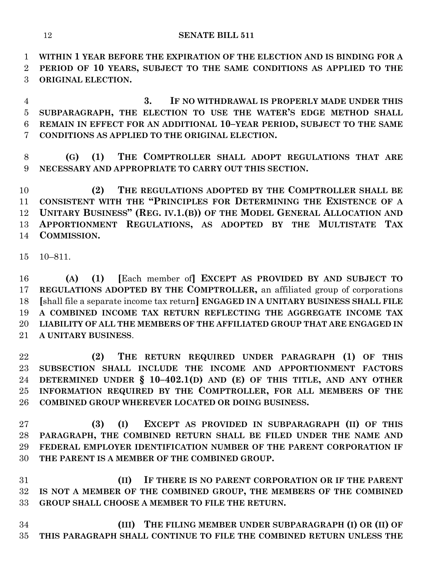**WITHIN 1 YEAR BEFORE THE EXPIRATION OF THE ELECTION AND IS BINDING FOR A PERIOD OF 10 YEARS, SUBJECT TO THE SAME CONDITIONS AS APPLIED TO THE ORIGINAL ELECTION.**

 **3. IF NO WITHDRAWAL IS PROPERLY MADE UNDER THIS SUBPARAGRAPH, THE ELECTION TO USE THE WATER'S EDGE METHOD SHALL REMAIN IN EFFECT FOR AN ADDITIONAL 10–YEAR PERIOD, SUBJECT TO THE SAME CONDITIONS AS APPLIED TO THE ORIGINAL ELECTION.**

 **(G) (1) THE COMPTROLLER SHALL ADOPT REGULATIONS THAT ARE NECESSARY AND APPROPRIATE TO CARRY OUT THIS SECTION.**

 **(2) THE REGULATIONS ADOPTED BY THE COMPTROLLER SHALL BE CONSISTENT WITH THE "PRINCIPLES FOR DETERMINING THE EXISTENCE OF A UNITARY BUSINESS" (REG. IV.1.(B)) OF THE MODEL GENERAL ALLOCATION AND APPORTIONMENT REGULATIONS, AS ADOPTED BY THE MULTISTATE TAX COMMISSION.**

10–811.

 **(A) (1) [**Each member of**] EXCEPT AS PROVIDED BY AND SUBJECT TO REGULATIONS ADOPTED BY THE COMPTROLLER,** an affiliated group of corporations **[**shall file a separate income tax return**] ENGAGED IN A UNITARY BUSINESS SHALL FILE A COMBINED INCOME TAX RETURN REFLECTING THE AGGREGATE INCOME TAX LIABILITY OF ALL THE MEMBERS OF THE AFFILIATED GROUP THAT ARE ENGAGED IN A UNITARY BUSINESS**.

 **(2) THE RETURN REQUIRED UNDER PARAGRAPH (1) OF THIS SUBSECTION SHALL INCLUDE THE INCOME AND APPORTIONMENT FACTORS DETERMINED UNDER § 10–402.1(D) AND (E) OF THIS TITLE, AND ANY OTHER INFORMATION REQUIRED BY THE COMPTROLLER, FOR ALL MEMBERS OF THE COMBINED GROUP WHEREVER LOCATED OR DOING BUSINESS.**

 **(3) (I) EXCEPT AS PROVIDED IN SUBPARAGRAPH (II) OF THIS PARAGRAPH, THE COMBINED RETURN SHALL BE FILED UNDER THE NAME AND FEDERAL EMPLOYER IDENTIFICATION NUMBER OF THE PARENT CORPORATION IF THE PARENT IS A MEMBER OF THE COMBINED GROUP.**

 **(II) IF THERE IS NO PARENT CORPORATION OR IF THE PARENT IS NOT A MEMBER OF THE COMBINED GROUP, THE MEMBERS OF THE COMBINED GROUP SHALL CHOOSE A MEMBER TO FILE THE RETURN.**

 **(III) THE FILING MEMBER UNDER SUBPARAGRAPH (I) OR (II) OF THIS PARAGRAPH SHALL CONTINUE TO FILE THE COMBINED RETURN UNLESS THE**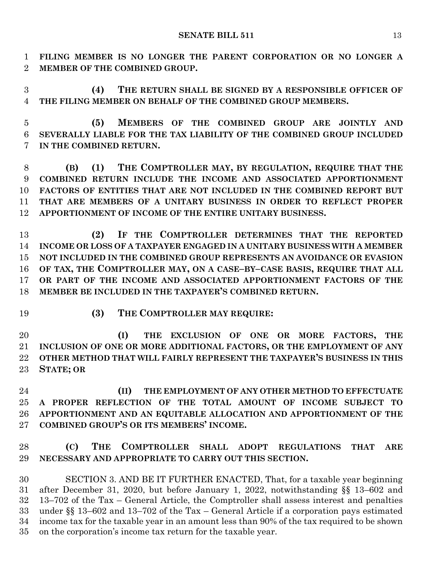**FILING MEMBER IS NO LONGER THE PARENT CORPORATION OR NO LONGER A MEMBER OF THE COMBINED GROUP.**

 **(4) THE RETURN SHALL BE SIGNED BY A RESPONSIBLE OFFICER OF THE FILING MEMBER ON BEHALF OF THE COMBINED GROUP MEMBERS.**

 **(5) MEMBERS OF THE COMBINED GROUP ARE JOINTLY AND SEVERALLY LIABLE FOR THE TAX LIABILITY OF THE COMBINED GROUP INCLUDED IN THE COMBINED RETURN.**

 **(B) (1) THE COMPTROLLER MAY, BY REGULATION, REQUIRE THAT THE COMBINED RETURN INCLUDE THE INCOME AND ASSOCIATED APPORTIONMENT FACTORS OF ENTITIES THAT ARE NOT INCLUDED IN THE COMBINED REPORT BUT THAT ARE MEMBERS OF A UNITARY BUSINESS IN ORDER TO REFLECT PROPER APPORTIONMENT OF INCOME OF THE ENTIRE UNITARY BUSINESS.**

 **(2) IF THE COMPTROLLER DETERMINES THAT THE REPORTED INCOME OR LOSS OF A TAXPAYER ENGAGED IN A UNITARY BUSINESS WITH A MEMBER NOT INCLUDED IN THE COMBINED GROUP REPRESENTS AN AVOIDANCE OR EVASION OF TAX, THE COMPTROLLER MAY, ON A CASE–BY–CASE BASIS, REQUIRE THAT ALL OR PART OF THE INCOME AND ASSOCIATED APPORTIONMENT FACTORS OF THE MEMBER BE INCLUDED IN THE TAXPAYER'S COMBINED RETURN.**

**(3) THE COMPTROLLER MAY REQUIRE:**

 **(I) THE EXCLUSION OF ONE OR MORE FACTORS, THE INCLUSION OF ONE OR MORE ADDITIONAL FACTORS, OR THE EMPLOYMENT OF ANY OTHER METHOD THAT WILL FAIRLY REPRESENT THE TAXPAYER'S BUSINESS IN THIS STATE; OR**

 **(II) THE EMPLOYMENT OF ANY OTHER METHOD TO EFFECTUATE A PROPER REFLECTION OF THE TOTAL AMOUNT OF INCOME SUBJECT TO APPORTIONMENT AND AN EQUITABLE ALLOCATION AND APPORTIONMENT OF THE COMBINED GROUP'S OR ITS MEMBERS' INCOME.**

## **(C) THE COMPTROLLER SHALL ADOPT REGULATIONS THAT ARE NECESSARY AND APPROPRIATE TO CARRY OUT THIS SECTION.**

 SECTION 3. AND BE IT FURTHER ENACTED, That, for a taxable year beginning after December 31, 2020, but before January 1, 2022, notwithstanding §§ 13–602 and 13–702 of the Tax – General Article, the Comptroller shall assess interest and penalties under §§ 13–602 and 13–702 of the Tax – General Article if a corporation pays estimated income tax for the taxable year in an amount less than 90% of the tax required to be shown on the corporation's income tax return for the taxable year.